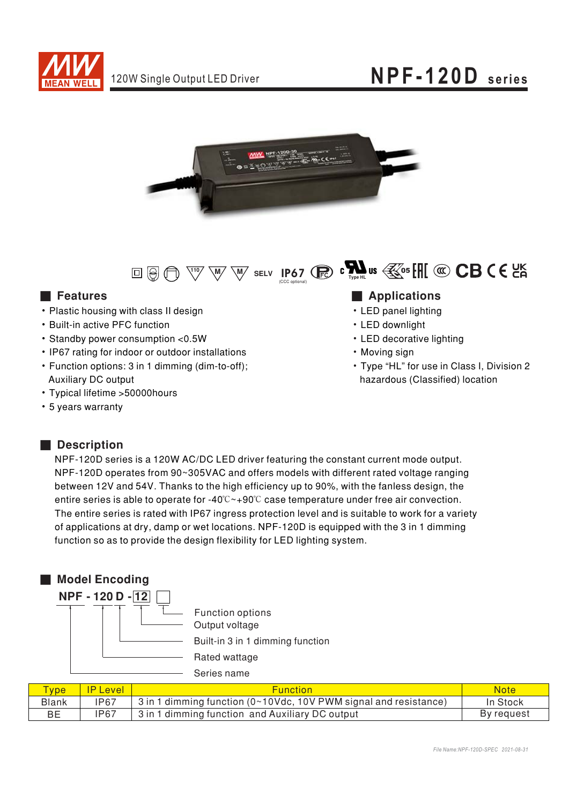





#### ■ Features ■ Ap

- Plastic housing with class II design
- Built-in active PFC function
- · Standby power consumption <0.5W
- IP67 rating for indoor or outdoor installations
- Function options: 3 in 1 dimming (dim-to-off); Auxiliary DC output
- Typical lifetime > 50000 hours
- 5 years warranty

### ■ Description

NPF-120D series is a 120W AC/DC LED driver featuring the constant current mode output. NPF-120D operates from 90~305VAC and offers models with different rated voltage ranging between 12V and 54V. Thanks to the high efficiency up to 90%, with the fanless design, the entire series is able to operate for -40°C~+90°C case temperature under free air convection. The entire series is rated with IP67 ingress protection level and is suitable to work for a variety of applications at dry, damp or wet locations. NPF-120D is equipped with the 3 in 1 dimming function so as to provide the design flexibility for LED lighting system.



| <b>Type</b>  | <b>IP Level</b> | <b>Function</b>                                                           | <b>Note</b> |
|--------------|-----------------|---------------------------------------------------------------------------|-------------|
| <b>Blank</b> | <b>IP67</b>     | 3 in 1 dimming function ( $0 \sim 10$ Vdc, 10V PWM signal and resistance) | In Stock    |
| BЕ           | IP67            | 3 in 1 dimming function and Auxiliary DC output                           | By request  |

#### plications

- LED panel lighting
- LED downlight
- LED decorative lighting
- Moving sign
- Type "HL" for use in Class I, Division 2 hazardous (Classified) location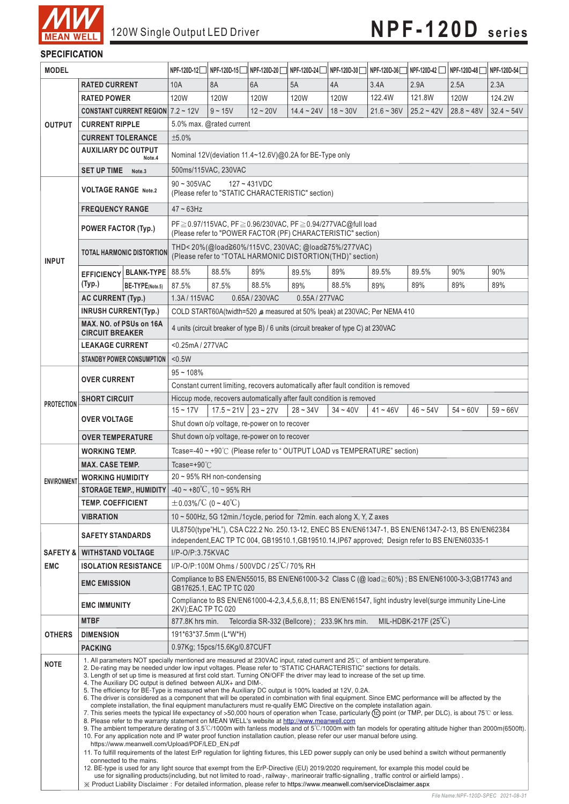

#### **SPECIFICATION**

| <b>MODEL</b>        |                                                                                                                                                                                                                                                                                                                                                                                                                                                                                                                                                                                                                                                                                                                                                                                                                                                                                                                                                                                                                                                                                                                                                                                                                                                                                                                                                                                                                                                                                                                                                                                                                                                                                                                                                                                                                                                                                                                                                                                                                                                                         | NPF-120D-12     | NPF-120D-15                                                                                                                       | NPF-120D-20 | NPF-120D-24    | NPF-120D-30    | NPF-120D-36 | NPF-120D-42  | NPF-120D-48  | NPF-120D-54  |              |
|---------------------|-------------------------------------------------------------------------------------------------------------------------------------------------------------------------------------------------------------------------------------------------------------------------------------------------------------------------------------------------------------------------------------------------------------------------------------------------------------------------------------------------------------------------------------------------------------------------------------------------------------------------------------------------------------------------------------------------------------------------------------------------------------------------------------------------------------------------------------------------------------------------------------------------------------------------------------------------------------------------------------------------------------------------------------------------------------------------------------------------------------------------------------------------------------------------------------------------------------------------------------------------------------------------------------------------------------------------------------------------------------------------------------------------------------------------------------------------------------------------------------------------------------------------------------------------------------------------------------------------------------------------------------------------------------------------------------------------------------------------------------------------------------------------------------------------------------------------------------------------------------------------------------------------------------------------------------------------------------------------------------------------------------------------------------------------------------------------|-----------------|-----------------------------------------------------------------------------------------------------------------------------------|-------------|----------------|----------------|-------------|--------------|--------------|--------------|--------------|
|                     | <b>RATED CURRENT</b>                                                                                                                                                                                                                                                                                                                                                                                                                                                                                                                                                                                                                                                                                                                                                                                                                                                                                                                                                                                                                                                                                                                                                                                                                                                                                                                                                                                                                                                                                                                                                                                                                                                                                                                                                                                                                                                                                                                                                                                                                                                    |                 | 10A                                                                                                                               | 8A          | 6A             | 5A             | 4A          | 3.4A         | 2.9A         | 2.5A         | 2.3A         |
| <b>OUTPUT</b>       | <b>RATED POWER</b>                                                                                                                                                                                                                                                                                                                                                                                                                                                                                                                                                                                                                                                                                                                                                                                                                                                                                                                                                                                                                                                                                                                                                                                                                                                                                                                                                                                                                                                                                                                                                                                                                                                                                                                                                                                                                                                                                                                                                                                                                                                      |                 | 120W                                                                                                                              | <b>120W</b> | 120W           | 120W           | 120W        | 122.4W       | 121.8W       | <b>120W</b>  | 124.2W       |
|                     | <b>CONSTANT CURRENT REGION</b> $7.2 \sim 12V$                                                                                                                                                                                                                                                                                                                                                                                                                                                                                                                                                                                                                                                                                                                                                                                                                                                                                                                                                                                                                                                                                                                                                                                                                                                                                                                                                                                                                                                                                                                                                                                                                                                                                                                                                                                                                                                                                                                                                                                                                           |                 |                                                                                                                                   | $9 - 15V$   | $12 - 20V$     | $14.4 - 24V$   | $18 - 30V$  | $21.6 - 36V$ | $25.2 - 42V$ | $28.8 - 48V$ | $32.4 - 54V$ |
|                     | <b>CURRENT RIPPLE</b>                                                                                                                                                                                                                                                                                                                                                                                                                                                                                                                                                                                                                                                                                                                                                                                                                                                                                                                                                                                                                                                                                                                                                                                                                                                                                                                                                                                                                                                                                                                                                                                                                                                                                                                                                                                                                                                                                                                                                                                                                                                   |                 | 5.0% max. @rated current                                                                                                          |             |                |                |             |              |              |              |              |
|                     | <b>CURRENT TOLERANCE</b>                                                                                                                                                                                                                                                                                                                                                                                                                                                                                                                                                                                                                                                                                                                                                                                                                                                                                                                                                                                                                                                                                                                                                                                                                                                                                                                                                                                                                                                                                                                                                                                                                                                                                                                                                                                                                                                                                                                                                                                                                                                |                 | ±5.0%                                                                                                                             |             |                |                |             |              |              |              |              |
|                     | <b>AUXILIARY DC OUTPUT</b>                                                                                                                                                                                                                                                                                                                                                                                                                                                                                                                                                                                                                                                                                                                                                                                                                                                                                                                                                                                                                                                                                                                                                                                                                                                                                                                                                                                                                                                                                                                                                                                                                                                                                                                                                                                                                                                                                                                                                                                                                                              |                 |                                                                                                                                   |             |                |                |             |              |              |              |              |
|                     | Note.4                                                                                                                                                                                                                                                                                                                                                                                                                                                                                                                                                                                                                                                                                                                                                                                                                                                                                                                                                                                                                                                                                                                                                                                                                                                                                                                                                                                                                                                                                                                                                                                                                                                                                                                                                                                                                                                                                                                                                                                                                                                                  |                 | Nominal 12V (deviation 11.4~12.6V) @0.2A for BE-Type only                                                                         |             |                |                |             |              |              |              |              |
|                     | <b>SET UP TIME</b><br>Note.3                                                                                                                                                                                                                                                                                                                                                                                                                                                                                                                                                                                                                                                                                                                                                                                                                                                                                                                                                                                                                                                                                                                                                                                                                                                                                                                                                                                                                                                                                                                                                                                                                                                                                                                                                                                                                                                                                                                                                                                                                                            |                 | 500ms/115VAC, 230VAC                                                                                                              |             |                |                |             |              |              |              |              |
| <b>INPUT</b>        | <b>VOLTAGE RANGE Note.2</b>                                                                                                                                                                                                                                                                                                                                                                                                                                                                                                                                                                                                                                                                                                                                                                                                                                                                                                                                                                                                                                                                                                                                                                                                                                                                                                                                                                                                                                                                                                                                                                                                                                                                                                                                                                                                                                                                                                                                                                                                                                             |                 | $90 - 305$ VAC<br>$127 - 431VDC$<br>(Please refer to "STATIC CHARACTERISTIC" section)                                             |             |                |                |             |              |              |              |              |
|                     | <b>FREQUENCY RANGE</b>                                                                                                                                                                                                                                                                                                                                                                                                                                                                                                                                                                                                                                                                                                                                                                                                                                                                                                                                                                                                                                                                                                                                                                                                                                                                                                                                                                                                                                                                                                                                                                                                                                                                                                                                                                                                                                                                                                                                                                                                                                                  |                 | $47 - 63$ Hz                                                                                                                      |             |                |                |             |              |              |              |              |
|                     | <b>POWER FACTOR (Typ.)</b>                                                                                                                                                                                                                                                                                                                                                                                                                                                                                                                                                                                                                                                                                                                                                                                                                                                                                                                                                                                                                                                                                                                                                                                                                                                                                                                                                                                                                                                                                                                                                                                                                                                                                                                                                                                                                                                                                                                                                                                                                                              |                 | PF≥0.97/115VAC, PF≥0.96/230VAC, PF≥0.94/277VAC@full load<br>(Please refer to "POWER FACTOR (PF) CHARACTERISTIC" section)          |             |                |                |             |              |              |              |              |
|                     | <b>TOTAL HARMONIC DISTORTION</b>                                                                                                                                                                                                                                                                                                                                                                                                                                                                                                                                                                                                                                                                                                                                                                                                                                                                                                                                                                                                                                                                                                                                                                                                                                                                                                                                                                                                                                                                                                                                                                                                                                                                                                                                                                                                                                                                                                                                                                                                                                        |                 | THD<20%(@load≧60%/115VC, 230VAC; @load≧75%/277VAC)<br>(Please refer to "TOTAL HARMONIC DISTORTION(THD)" section)                  |             |                |                |             |              |              |              |              |
|                     | EFFICIENCY BLANK-TYPE                                                                                                                                                                                                                                                                                                                                                                                                                                                                                                                                                                                                                                                                                                                                                                                                                                                                                                                                                                                                                                                                                                                                                                                                                                                                                                                                                                                                                                                                                                                                                                                                                                                                                                                                                                                                                                                                                                                                                                                                                                                   |                 | 88.5%                                                                                                                             | 88.5%       | 89%            | 89.5%          | 89%         | 89.5%        | 89.5%        | 90%          | 90%          |
|                     | (Typ.)                                                                                                                                                                                                                                                                                                                                                                                                                                                                                                                                                                                                                                                                                                                                                                                                                                                                                                                                                                                                                                                                                                                                                                                                                                                                                                                                                                                                                                                                                                                                                                                                                                                                                                                                                                                                                                                                                                                                                                                                                                                                  | BE-TYPE(Note.5) | 87.5%                                                                                                                             | 87.5%       | 88.5%          | 89%            | 88.5%       | 89%          | 89%          | 89%          | 89%          |
|                     | <b>AC CURRENT (Typ.)</b>                                                                                                                                                                                                                                                                                                                                                                                                                                                                                                                                                                                                                                                                                                                                                                                                                                                                                                                                                                                                                                                                                                                                                                                                                                                                                                                                                                                                                                                                                                                                                                                                                                                                                                                                                                                                                                                                                                                                                                                                                                                |                 | 1.3A/115VAC                                                                                                                       |             | 0.65A / 230VAC | 0.55A / 277VAC |             |              |              |              |              |
|                     | <b>INRUSH CURRENT(Typ.)</b>                                                                                                                                                                                                                                                                                                                                                                                                                                                                                                                                                                                                                                                                                                                                                                                                                                                                                                                                                                                                                                                                                                                                                                                                                                                                                                                                                                                                                                                                                                                                                                                                                                                                                                                                                                                                                                                                                                                                                                                                                                             |                 | COLD START60A(twidth=520 & measured at 50% lpeak) at 230VAC; Per NEMA 410                                                         |             |                |                |             |              |              |              |              |
|                     | MAX. NO. of PSUs on 16A<br><b>CIRCUIT BREAKER</b>                                                                                                                                                                                                                                                                                                                                                                                                                                                                                                                                                                                                                                                                                                                                                                                                                                                                                                                                                                                                                                                                                                                                                                                                                                                                                                                                                                                                                                                                                                                                                                                                                                                                                                                                                                                                                                                                                                                                                                                                                       |                 | 4 units (circuit breaker of type B) / 6 units (circuit breaker of type C) at 230VAC                                               |             |                |                |             |              |              |              |              |
|                     | <b>LEAKAGE CURRENT</b>                                                                                                                                                                                                                                                                                                                                                                                                                                                                                                                                                                                                                                                                                                                                                                                                                                                                                                                                                                                                                                                                                                                                                                                                                                                                                                                                                                                                                                                                                                                                                                                                                                                                                                                                                                                                                                                                                                                                                                                                                                                  |                 | <0.25mA/277VAC                                                                                                                    |             |                |                |             |              |              |              |              |
|                     | <b>STANDBY POWER CONSUMPTION</b>                                                                                                                                                                                                                                                                                                                                                                                                                                                                                                                                                                                                                                                                                                                                                                                                                                                                                                                                                                                                                                                                                                                                                                                                                                                                                                                                                                                                                                                                                                                                                                                                                                                                                                                                                                                                                                                                                                                                                                                                                                        |                 | < 0.5W                                                                                                                            |             |                |                |             |              |              |              |              |
| <b>PROTECTION</b>   | <b>OVER CURRENT</b>                                                                                                                                                                                                                                                                                                                                                                                                                                                                                                                                                                                                                                                                                                                                                                                                                                                                                                                                                                                                                                                                                                                                                                                                                                                                                                                                                                                                                                                                                                                                                                                                                                                                                                                                                                                                                                                                                                                                                                                                                                                     |                 | $95 - 108%$                                                                                                                       |             |                |                |             |              |              |              |              |
|                     |                                                                                                                                                                                                                                                                                                                                                                                                                                                                                                                                                                                                                                                                                                                                                                                                                                                                                                                                                                                                                                                                                                                                                                                                                                                                                                                                                                                                                                                                                                                                                                                                                                                                                                                                                                                                                                                                                                                                                                                                                                                                         |                 | Constant current limiting, recovers automatically after fault condition is removed                                                |             |                |                |             |              |              |              |              |
|                     | <b>SHORT CIRCUIT</b>                                                                                                                                                                                                                                                                                                                                                                                                                                                                                                                                                                                                                                                                                                                                                                                                                                                                                                                                                                                                                                                                                                                                                                                                                                                                                                                                                                                                                                                                                                                                                                                                                                                                                                                                                                                                                                                                                                                                                                                                                                                    |                 | Hiccup mode, recovers automatically after fault condition is removed<br>$15 - 17V$<br>$28 - 34V$<br>$34 - 40V$                    |             |                |                |             |              |              |              |              |
|                     | <b>OVER VOLTAGE</b><br><b>OVER TEMPERATURE</b>                                                                                                                                                                                                                                                                                                                                                                                                                                                                                                                                                                                                                                                                                                                                                                                                                                                                                                                                                                                                                                                                                                                                                                                                                                                                                                                                                                                                                                                                                                                                                                                                                                                                                                                                                                                                                                                                                                                                                                                                                          |                 | $17.5 \sim 21V$ 23 ~ 27V<br>$41 - 46V$<br>$46 - 54V$<br>$54 - 60V$<br>$59 - 66V$<br>Shut down o/p voltage, re-power on to recover |             |                |                |             |              |              |              |              |
|                     |                                                                                                                                                                                                                                                                                                                                                                                                                                                                                                                                                                                                                                                                                                                                                                                                                                                                                                                                                                                                                                                                                                                                                                                                                                                                                                                                                                                                                                                                                                                                                                                                                                                                                                                                                                                                                                                                                                                                                                                                                                                                         |                 | Shut down o/p voltage, re-power on to recover                                                                                     |             |                |                |             |              |              |              |              |
| <b>ENVIRONMENT</b>  | <b>WORKING TEMP.</b>                                                                                                                                                                                                                                                                                                                                                                                                                                                                                                                                                                                                                                                                                                                                                                                                                                                                                                                                                                                                                                                                                                                                                                                                                                                                                                                                                                                                                                                                                                                                                                                                                                                                                                                                                                                                                                                                                                                                                                                                                                                    |                 | Tcase=-40 ~ +90°C (Please refer to "OUTPUT LOAD vs TEMPERATURE" section)                                                          |             |                |                |             |              |              |              |              |
|                     | <b>MAX. CASE TEMP.</b>                                                                                                                                                                                                                                                                                                                                                                                                                                                                                                                                                                                                                                                                                                                                                                                                                                                                                                                                                                                                                                                                                                                                                                                                                                                                                                                                                                                                                                                                                                                                                                                                                                                                                                                                                                                                                                                                                                                                                                                                                                                  |                 | Tcase=+90 $°C$                                                                                                                    |             |                |                |             |              |              |              |              |
|                     | <b>WORKING HUMIDITY</b>                                                                                                                                                                                                                                                                                                                                                                                                                                                                                                                                                                                                                                                                                                                                                                                                                                                                                                                                                                                                                                                                                                                                                                                                                                                                                                                                                                                                                                                                                                                                                                                                                                                                                                                                                                                                                                                                                                                                                                                                                                                 |                 | $20 \sim 95\%$ RH non-condensing                                                                                                  |             |                |                |             |              |              |              |              |
|                     | <b>STORAGE TEMP., HUMIDITY</b> $-40 \sim +80^{\circ}$ C, 10 ~ 95% RH                                                                                                                                                                                                                                                                                                                                                                                                                                                                                                                                                                                                                                                                                                                                                                                                                                                                                                                                                                                                                                                                                                                                                                                                                                                                                                                                                                                                                                                                                                                                                                                                                                                                                                                                                                                                                                                                                                                                                                                                    |                 |                                                                                                                                   |             |                |                |             |              |              |              |              |
|                     | <b>TEMP. COEFFICIENT</b>                                                                                                                                                                                                                                                                                                                                                                                                                                                                                                                                                                                                                                                                                                                                                                                                                                                                                                                                                                                                                                                                                                                                                                                                                                                                                                                                                                                                                                                                                                                                                                                                                                                                                                                                                                                                                                                                                                                                                                                                                                                |                 | $\pm$ 0.03%/°C (0~40°C)                                                                                                           |             |                |                |             |              |              |              |              |
|                     | <b>VIBRATION</b>                                                                                                                                                                                                                                                                                                                                                                                                                                                                                                                                                                                                                                                                                                                                                                                                                                                                                                                                                                                                                                                                                                                                                                                                                                                                                                                                                                                                                                                                                                                                                                                                                                                                                                                                                                                                                                                                                                                                                                                                                                                        |                 | 10 ~ 500Hz, 5G 12min./1cycle, period for 72min. each along X, Y, Z axes                                                           |             |                |                |             |              |              |              |              |
|                     | <b>SAFETY STANDARDS</b>                                                                                                                                                                                                                                                                                                                                                                                                                                                                                                                                                                                                                                                                                                                                                                                                                                                                                                                                                                                                                                                                                                                                                                                                                                                                                                                                                                                                                                                                                                                                                                                                                                                                                                                                                                                                                                                                                                                                                                                                                                                 |                 | UL8750(type"HL"), CSA C22.2 No. 250.13-12, ENEC BS EN/EN61347-1, BS EN/EN61347-2-13, BS EN/EN62384                                |             |                |                |             |              |              |              |              |
| <b>SAFETY &amp;</b> |                                                                                                                                                                                                                                                                                                                                                                                                                                                                                                                                                                                                                                                                                                                                                                                                                                                                                                                                                                                                                                                                                                                                                                                                                                                                                                                                                                                                                                                                                                                                                                                                                                                                                                                                                                                                                                                                                                                                                                                                                                                                         |                 | independent, EAC TP TC 004, GB19510.1, GB19510.14, IP67 approved; Design refer to BS EN/EN60335-1                                 |             |                |                |             |              |              |              |              |
|                     | <b>WITHSTAND VOLTAGE</b>                                                                                                                                                                                                                                                                                                                                                                                                                                                                                                                                                                                                                                                                                                                                                                                                                                                                                                                                                                                                                                                                                                                                                                                                                                                                                                                                                                                                                                                                                                                                                                                                                                                                                                                                                                                                                                                                                                                                                                                                                                                |                 | I/P-O/P:3.75KVAC                                                                                                                  |             |                |                |             |              |              |              |              |
| <b>EMC</b>          | <b>ISOLATION RESISTANCE</b>                                                                                                                                                                                                                                                                                                                                                                                                                                                                                                                                                                                                                                                                                                                                                                                                                                                                                                                                                                                                                                                                                                                                                                                                                                                                                                                                                                                                                                                                                                                                                                                                                                                                                                                                                                                                                                                                                                                                                                                                                                             |                 | I/P-O/P:100M Ohms / 500VDC / 25°C/70% RH                                                                                          |             |                |                |             |              |              |              |              |
|                     | Compliance to BS EN/EN55015, BS EN/EN61000-3-2 Class C (@ load ≥ 60%) ; BS EN/EN61000-3-3;GB17743 and<br><b>EMC EMISSION</b><br>GB17625.1, EAC TP TC 020                                                                                                                                                                                                                                                                                                                                                                                                                                                                                                                                                                                                                                                                                                                                                                                                                                                                                                                                                                                                                                                                                                                                                                                                                                                                                                                                                                                                                                                                                                                                                                                                                                                                                                                                                                                                                                                                                                                |                 |                                                                                                                                   |             |                |                |             |              |              |              |              |
|                     | <b>EMC IMMUNITY</b>                                                                                                                                                                                                                                                                                                                                                                                                                                                                                                                                                                                                                                                                                                                                                                                                                                                                                                                                                                                                                                                                                                                                                                                                                                                                                                                                                                                                                                                                                                                                                                                                                                                                                                                                                                                                                                                                                                                                                                                                                                                     |                 | Compliance to BS EN/EN61000-4-2,3,4,5,6,8,11; BS EN/EN61547, light industry level(surge immunity Line-Line<br>2KV); EAC TP TC 020 |             |                |                |             |              |              |              |              |
| <b>OTHERS</b>       | <b>MTBF</b>                                                                                                                                                                                                                                                                                                                                                                                                                                                                                                                                                                                                                                                                                                                                                                                                                                                                                                                                                                                                                                                                                                                                                                                                                                                                                                                                                                                                                                                                                                                                                                                                                                                                                                                                                                                                                                                                                                                                                                                                                                                             |                 | MIL-HDBK-217F $(25^{\circ}\mathrm{C})$<br>877.8K hrs min.<br>Telcordia SR-332 (Bellcore) ; 233.9K hrs min.                        |             |                |                |             |              |              |              |              |
|                     | <b>DIMENSION</b>                                                                                                                                                                                                                                                                                                                                                                                                                                                                                                                                                                                                                                                                                                                                                                                                                                                                                                                                                                                                                                                                                                                                                                                                                                                                                                                                                                                                                                                                                                                                                                                                                                                                                                                                                                                                                                                                                                                                                                                                                                                        |                 | 191*63*37.5mm (L*W*H)                                                                                                             |             |                |                |             |              |              |              |              |
|                     | <b>PACKING</b>                                                                                                                                                                                                                                                                                                                                                                                                                                                                                                                                                                                                                                                                                                                                                                                                                                                                                                                                                                                                                                                                                                                                                                                                                                                                                                                                                                                                                                                                                                                                                                                                                                                                                                                                                                                                                                                                                                                                                                                                                                                          |                 | 0.97Kg; 15pcs/15.6Kg/0.87CUFT                                                                                                     |             |                |                |             |              |              |              |              |
| <b>NOTE</b>         | 1. All parameters NOT specially mentioned are measured at 230VAC input, rated current and 25°C of ambient temperature.<br>2. De-rating may be needed under low input voltages. Please refer to "STATIC CHARACTERISTIC" sections for details.<br>3. Length of set up time is measured at first cold start. Turning ON/OFF the driver may lead to increase of the set up time.<br>4. The Auxiliary DC output is defined between AUX+ and DIM-.<br>5. The efficiency for BE-Type is measured when the Auxiliary DC output is 100% loaded at 12V, 0.2A.<br>6. The driver is considered as a component that will be operated in combination with final equipment. Since EMC performance will be affected by the<br>complete installation, the final equipment manufacturers must re-qualify EMC Directive on the complete installation again.<br>7. This series meets the typical life expectancy of >50,000 hours of operation when Tcase, particularly (tc) point (or TMP, per DLC), is about 75°C or less.<br>8. Please refer to the warranty statement on MEAN WELL's website at http://www.meanwell.com<br>9. The ambient temperature derating of 3.5°C/1000m with fanless models and of 5°C/1000m with fan models for operating altitude higher than 2000m(6500ft).<br>10. For any application note and IP water proof function installation caution, please refer our user manual before using.<br>https://www.meanwell.com/Upload/PDF/LED_EN.pdf<br>11. To fulfill requirements of the latest ErP regulation for lighting fixtures, this LED power supply can only be used behind a switch without permanently<br>connected to the mains.<br>12. BE-type is used for any light source that exempt from the ErP-Directive (EU) 2019/2020 requirement, for example this model could be<br>use for signalling products (including, but not limited to road-, railway-, marineorair traffic-signalling, traffic control or airfield lamps).<br>X Product Liability Disclaimer: For detailed information, please refer to https://www.meanwell.com/serviceDisclaimer.aspx |                 |                                                                                                                                   |             |                |                |             |              |              |              |              |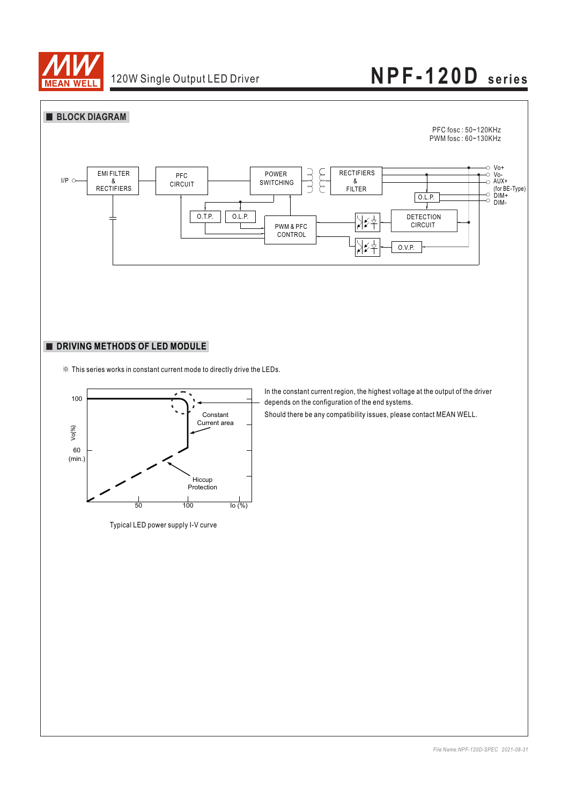



※ This series works in constant current mode to directly drive the LEDs.



Typical LED power supply I-V curve

In the constant current region, the highest voltage at the output of the driver depends on the configuration of the end systems.

Should there be any compatibility issues, please contact MEAN WELL.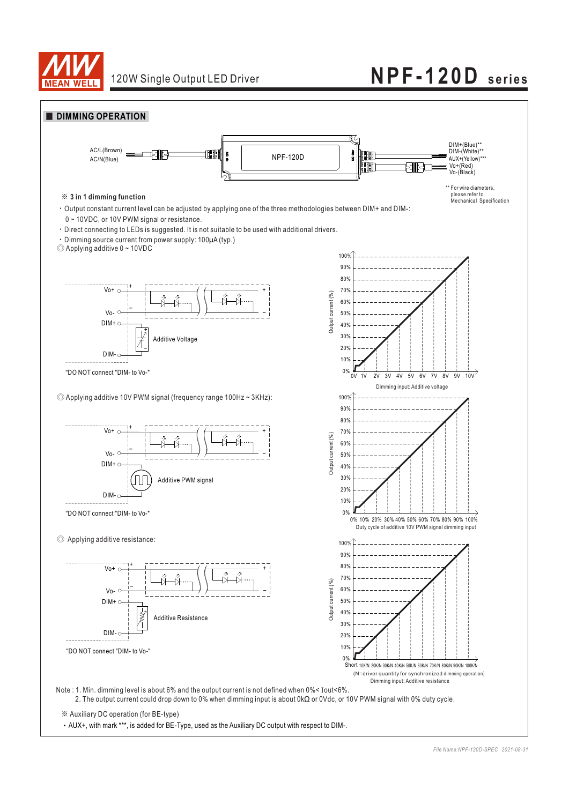

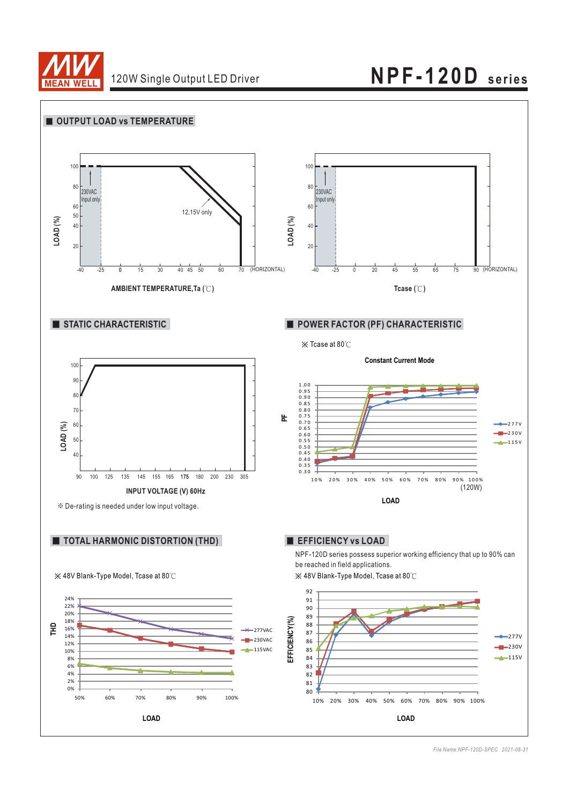

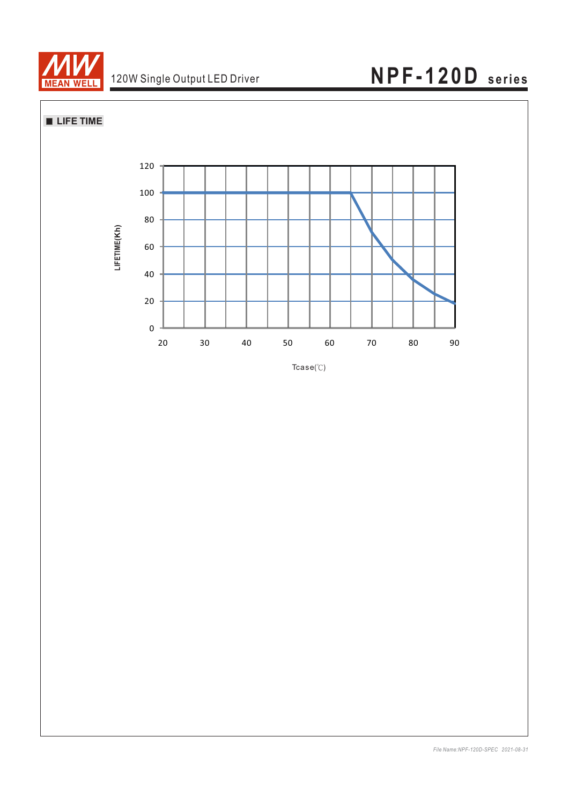

**LIFE TIME**



 $Tcase$   $^{\circ}$  $\mathbb{C}$